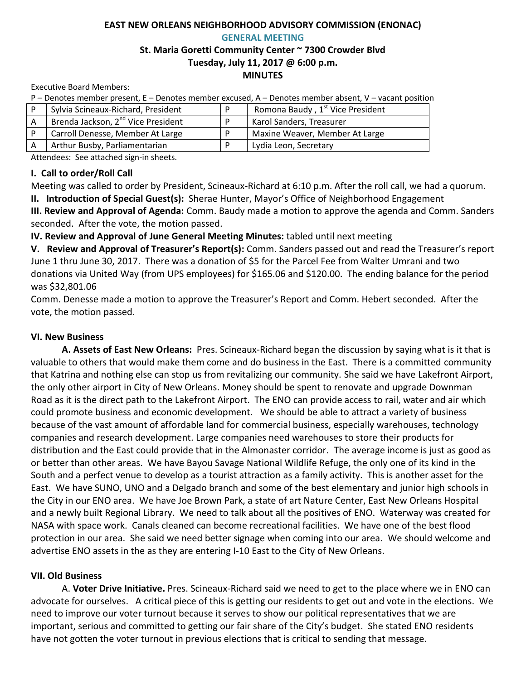# **EAST NEW ORLEANS NEIGHBORHOOD ADVISORY COMMISSION (ENONAC) GENERAL MEETING**

### **St. Maria Goretti Community Center ~ 7300 Crowder Blvd Tuesday, July 11, 2017 @ 6:00 p.m. MINUTES**

Executive Board Members:

P – Denotes member present, E – Denotes member excused, A – Denotes member absent, V – vacant position

|    | Sylvia Scineaux-Richard, President             | Romona Baudy, 1st Vice President |
|----|------------------------------------------------|----------------------------------|
| A  | Brenda Jackson, 2 <sup>nd</sup> Vice President | Karol Sanders, Treasurer         |
|    | Carroll Denesse, Member At Large               | Maxine Weaver, Member At Large   |
| ΙA | Arthur Busby, Parliamentarian                  | Lydia Leon, Secretary            |

Attendees: See attached sign-in sheets.

# **I. Call to order/Roll Call**

Meeting was called to order by President, Scineaux-Richard at 6:10 p.m. After the roll call, we had a quorum. **II. Introduction of Special Guest(s):** Sherae Hunter, Mayor's Office of Neighborhood Engagement

**III. Review and Approval of Agenda:** Comm. Baudy made a motion to approve the agenda and Comm. Sanders seconded. After the vote, the motion passed.

**IV. Review and Approval of June General Meeting Minutes:** tabled until next meeting

**V. Review and Approval of Treasurer's Report(s):** Comm. Sanders passed out and read the Treasurer's report June 1 thru June 30, 2017. There was a donation of \$5 for the Parcel Fee from Walter Umrani and two donations via United Way (from UPS employees) for \$165.06 and \$120.00. The ending balance for the period was \$32,801.06

Comm. Denesse made a motion to approve the Treasurer's Report and Comm. Hebert seconded. After the vote, the motion passed.

# **VI. New Business**

**A. Assets of East New Orleans:** Pres. Scineaux-Richard began the discussion by saying what is it that is valuable to others that would make them come and do business in the East. There is a committed community that Katrina and nothing else can stop us from revitalizing our community. She said we have Lakefront Airport, the only other airport in City of New Orleans. Money should be spent to renovate and upgrade Downman Road as it is the direct path to the Lakefront Airport. The ENO can provide access to rail, water and air which could promote business and economic development. We should be able to attract a variety of business because of the vast amount of affordable land for commercial business, especially warehouses, technology companies and research development. Large companies need warehouses to store their products for distribution and the East could provide that in the Almonaster corridor. The average income is just as good as or better than other areas. We have Bayou Savage National Wildlife Refuge, the only one of its kind in the South and a perfect venue to develop as a tourist attraction as a family activity. This is another asset for the East. We have SUNO, UNO and a Delgado branch and some of the best elementary and junior high schools in the City in our ENO area. We have Joe Brown Park, a state of art Nature Center, East New Orleans Hospital and a newly built Regional Library. We need to talk about all the positives of ENO. Waterway was created for NASA with space work. Canals cleaned can become recreational facilities. We have one of the best flood protection in our area. She said we need better signage when coming into our area. We should welcome and advertise ENO assets in the as they are entering I-10 East to the City of New Orleans.

# **VII. Old Business**

A. **Voter Drive Initiative.** Pres. Scineaux-Richard said we need to get to the place where we in ENO can advocate for ourselves. A critical piece of this is getting our residents to get out and vote in the elections. We need to improve our voter turnout because it serves to show our political representatives that we are important, serious and committed to getting our fair share of the City's budget. She stated ENO residents have not gotten the voter turnout in previous elections that is critical to sending that message.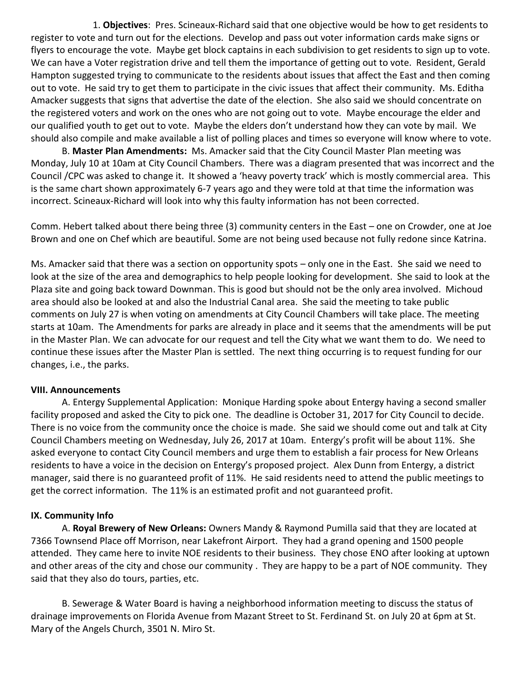1. **Objectives**: Pres. Scineaux-Richard said that one objective would be how to get residents to register to vote and turn out for the elections. Develop and pass out voter information cards make signs or flyers to encourage the vote. Maybe get block captains in each subdivision to get residents to sign up to vote. We can have a Voter registration drive and tell them the importance of getting out to vote. Resident, Gerald Hampton suggested trying to communicate to the residents about issues that affect the East and then coming out to vote. He said try to get them to participate in the civic issues that affect their community. Ms. Editha Amacker suggests that signs that advertise the date of the election. She also said we should concentrate on the registered voters and work on the ones who are not going out to vote. Maybe encourage the elder and our qualified youth to get out to vote. Maybe the elders don't understand how they can vote by mail. We should also compile and make available a list of polling places and times so everyone will know where to vote.

B. **Master Plan Amendments:** Ms. Amacker said that the City Council Master Plan meeting was Monday, July 10 at 10am at City Council Chambers. There was a diagram presented that was incorrect and the Council /CPC was asked to change it. It showed a 'heavy poverty track' which is mostly commercial area. This is the same chart shown approximately 6-7 years ago and they were told at that time the information was incorrect. Scineaux-Richard will look into why this faulty information has not been corrected.

Comm. Hebert talked about there being three (3) community centers in the East – one on Crowder, one at Joe Brown and one on Chef which are beautiful. Some are not being used because not fully redone since Katrina.

Ms. Amacker said that there was a section on opportunity spots – only one in the East. She said we need to look at the size of the area and demographics to help people looking for development. She said to look at the Plaza site and going back toward Downman. This is good but should not be the only area involved. Michoud area should also be looked at and also the Industrial Canal area. She said the meeting to take public comments on July 27 is when voting on amendments at City Council Chambers will take place. The meeting starts at 10am. The Amendments for parks are already in place and it seems that the amendments will be put in the Master Plan. We can advocate for our request and tell the City what we want them to do. We need to continue these issues after the Master Plan is settled. The next thing occurring is to request funding for our changes, i.e., the parks.

#### **VIII. Announcements**

A. Entergy Supplemental Application: Monique Harding spoke about Entergy having a second smaller facility proposed and asked the City to pick one. The deadline is October 31, 2017 for City Council to decide. There is no voice from the community once the choice is made. She said we should come out and talk at City Council Chambers meeting on Wednesday, July 26, 2017 at 10am. Entergy's profit will be about 11%. She asked everyone to contact City Council members and urge them to establish a fair process for New Orleans residents to have a voice in the decision on Entergy's proposed project. Alex Dunn from Entergy, a district manager, said there is no guaranteed profit of 11%. He said residents need to attend the public meetings to get the correct information. The 11% is an estimated profit and not guaranteed profit.

#### **IX. Community Info**

A. **Royal Brewery of New Orleans:** Owners Mandy & Raymond Pumilla said that they are located at 7366 Townsend Place off Morrison, near Lakefront Airport. They had a grand opening and 1500 people attended. They came here to invite NOE residents to their business. They chose ENO after looking at uptown and other areas of the city and chose our community . They are happy to be a part of NOE community. They said that they also do tours, parties, etc.

B. Sewerage & Water Board is having a neighborhood information meeting to discuss the status of drainage improvements on Florida Avenue from Mazant Street to St. Ferdinand St. on July 20 at 6pm at St. Mary of the Angels Church, 3501 N. Miro St.